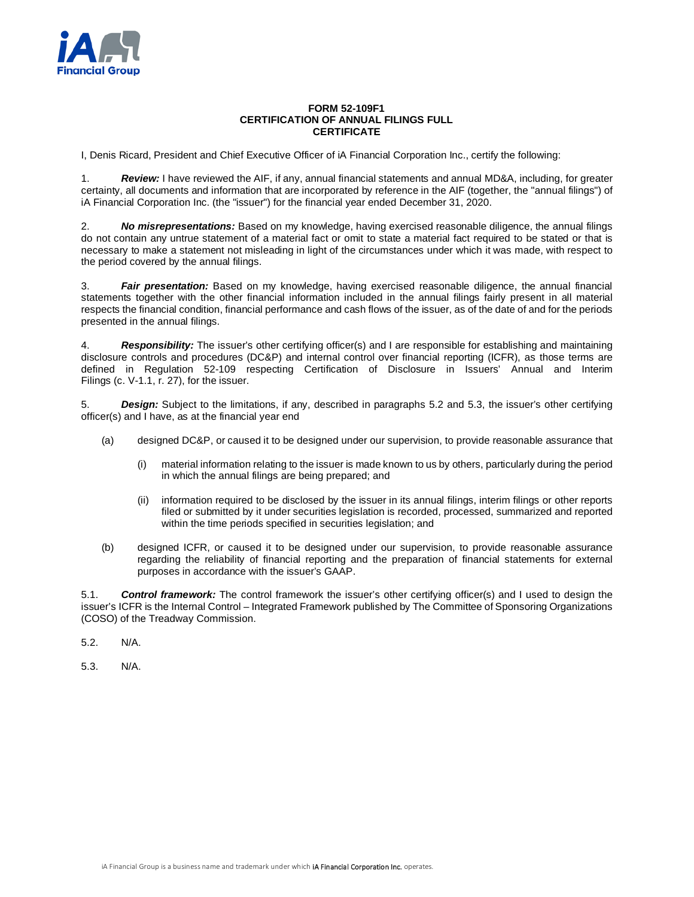

## **FORM 52-109F1 CERTIFICATION OF ANNUAL FILINGS FULL CERTIFICATE**

I, Denis Ricard, President and Chief Executive Officer of iA Financial Corporation Inc., certify the following:

1. *Review:* I have reviewed the AIF, if any, annual financial statements and annual MD&A, including, for greater certainty, all documents and information that are incorporated by reference in the AIF (together, the "annual filings") of iA Financial Corporation Inc. (the "issuer") for the financial year ended December 31, 2020.

2. *No misrepresentations:* Based on my knowledge, having exercised reasonable diligence, the annual filings do not contain any untrue statement of a material fact or omit to state a material fact required to be stated or that is necessary to make a statement not misleading in light of the circumstances under which it was made, with respect to the period covered by the annual filings.

3. *Fair presentation:* Based on my knowledge, having exercised reasonable diligence, the annual financial statements together with the other financial information included in the annual filings fairly present in all material respects the financial condition, financial performance and cash flows of the issuer, as of the date of and for the periods presented in the annual filings.

4. *Responsibility:* The issuer's other certifying officer(s) and I are responsible for establishing and maintaining disclosure controls and procedures (DC&P) and internal control over financial reporting (ICFR), as those terms are defined in Regulation 52-109 respecting Certification of Disclosure in Issuers' Annual and Interim Filings (c. V-1.1, r. 27), for the issuer.

5. *Design:* Subject to the limitations, if any, described in paragraphs 5.2 and 5.3, the issuer's other certifying officer(s) and I have, as at the financial year end

- (a) designed DC&P, or caused it to be designed under our supervision, to provide reasonable assurance that
	- (i) material information relating to the issuer is made known to us by others, particularly during the period in which the annual filings are being prepared; and
	- (ii) information required to be disclosed by the issuer in its annual filings, interim filings or other reports filed or submitted by it under securities legislation is recorded, processed, summarized and reported within the time periods specified in securities legislation; and
- (b) designed ICFR, or caused it to be designed under our supervision, to provide reasonable assurance regarding the reliability of financial reporting and the preparation of financial statements for external purposes in accordance with the issuer's GAAP.

5.1. *Control framework:* The control framework the issuer's other certifying officer(s) and I used to design the issuer's ICFR is the Internal Control – Integrated Framework published by The Committee of Sponsoring Organizations (COSO) of the Treadway Commission.

5.2. N/A.

5.3. N/A.